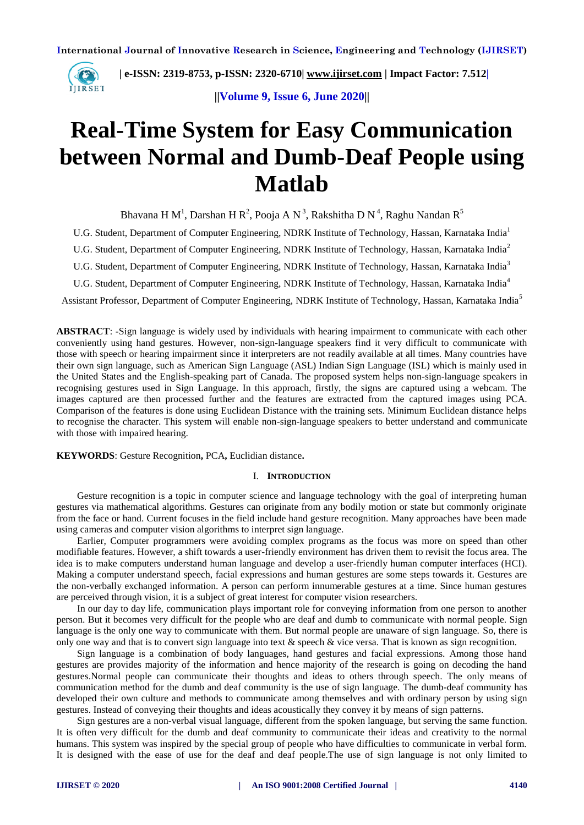

 **| e-ISSN: 2319-8753, p-ISSN: 2320-6710| [www.ijirset.com](http://www.ijirset.com/) | Impact Factor: 7.512|**

**||Volume 9, Issue 6, June 2020||** 

# **Real-Time System for Easy Communication between Normal and Dumb-Deaf People using Matlab**

Bhavana H M<sup>1</sup>, Darshan H R<sup>2</sup>, Pooja A N<sup>3</sup>, Rakshitha D N<sup>4</sup>, Raghu Nandan R<sup>5</sup>

U.G. Student, Department of Computer Engineering, NDRK Institute of Technology, Hassan, Karnataka India<sup>1</sup>

U.G. Student, Department of Computer Engineering, NDRK Institute of Technology, Hassan, Karnataka India<sup>2</sup>

U.G. Student, Department of Computer Engineering, NDRK Institute of Technology, Hassan, Karnataka India<sup>3</sup>

U.G. Student, Department of Computer Engineering, NDRK Institute of Technology, Hassan, Karnataka India<sup>4</sup>

Assistant Professor, Department of Computer Engineering, NDRK Institute of Technology, Hassan, Karnataka India<sup>5</sup>

**ABSTRACT**: -Sign language is widely used by individuals with hearing impairment to communicate with each other conveniently using hand gestures. However, non-sign-language speakers find it very difficult to communicate with those with speech or hearing impairment since it interpreters are not readily available at all times. Many countries have their own sign language, such as American Sign Language (ASL) Indian Sign Language (ISL) which is mainly used in the United States and the English-speaking part of Canada. The proposed system helps non-sign-language speakers in recognising gestures used in Sign Language. In this approach, firstly, the signs are captured using a webcam. The images captured are then processed further and the features are extracted from the captured images using PCA. Comparison of the features is done using Euclidean Distance with the training sets. Minimum Euclidean distance helps to recognise the character. This system will enable non-sign-language speakers to better understand and communicate with those with impaired hearing.

**KEYWORDS**: Gesture Recognition**,** PCA**,** Euclidian distance**.**

## I. **INTRODUCTION**

Gesture recognition is a topic in computer science and language technology with the goal of interpreting human gestures via mathematical algorithms. Gestures can originate from any bodily motion or state but commonly originate from the face or hand. Current focuses in the field include hand gesture recognition. Many approaches have been made using cameras and computer vision algorithms to interpret sign language.

Earlier, Computer programmers were avoiding complex programs as the focus was more on speed than other modifiable features. However, a shift towards a user-friendly environment has driven them to revisit the focus area. The idea is to make computers understand human language and develop a user-friendly human computer interfaces (HCI). Making a computer understand speech, facial expressions and human gestures are some steps towards it. Gestures are the non-verbally exchanged information. A person can perform innumerable gestures at a time. Since human gestures are perceived through vision, it is a subject of great interest for computer vision researchers.

In our day to day life, communication plays important role for conveying information from one person to another person. But it becomes very difficult for the people who are deaf and dumb to communicate with normal people. Sign language is the only one way to communicate with them. But normal people are unaware of sign language. So, there is only one way and that is to convert sign language into text & speech & vice versa. That is known as sign recognition.

Sign language is a combination of body languages, hand gestures and facial expressions. Among those hand gestures are provides majority of the information and hence majority of the research is going on decoding the hand gestures.Normal people can communicate their thoughts and ideas to others through speech. The only means of communication method for the dumb and deaf community is the use of sign language. The dumb-deaf community has developed their own culture and methods to communicate among themselves and with ordinary person by using sign gestures. Instead of conveying their thoughts and ideas acoustically they convey it by means of sign patterns.

Sign gestures are a non-verbal visual language, different from the spoken language, but serving the same function. It is often very difficult for the dumb and deaf community to communicate their ideas and creativity to the normal humans. This system was inspired by the special group of people who have difficulties to communicate in verbal form. It is designed with the ease of use for the deaf and deaf people.The use of sign language is not only limited to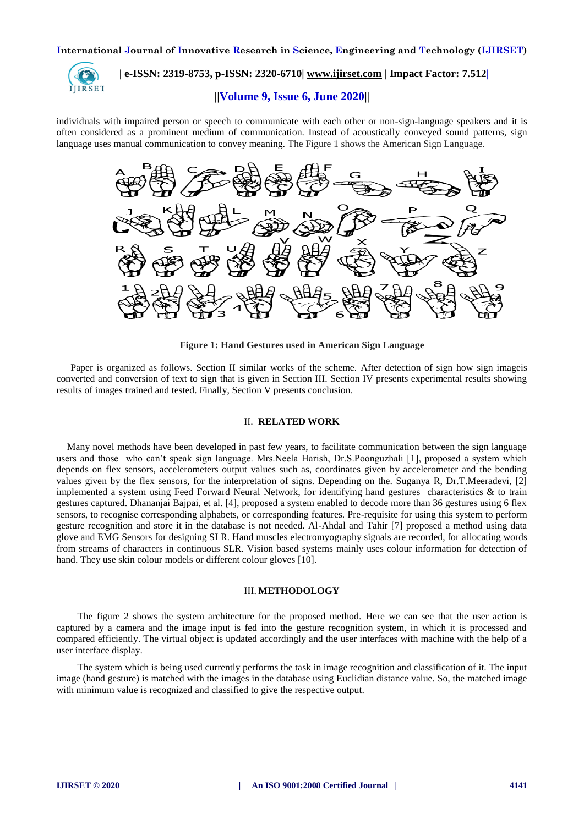

## **| e-ISSN: 2319-8753, p-ISSN: 2320-6710| [www.ijirset.com](http://www.ijirset.com/) | Impact Factor: 7.512|**

## **||Volume 9, Issue 6, June 2020||**

individuals with impaired person or speech to communicate with each other or non-sign-language speakers and it is often considered as a prominent medium of communication. Instead of acoustically conveyed sound patterns, sign language uses manual communication to convey meaning. The Figure 1 shows the American Sign Language.



**Figure 1: Hand Gestures used in American Sign Language**

Paper is organized as follows. Section II similar works of the scheme. After detection of sign how sign imageis converted and conversion of text to sign that is given in Section III. Section IV presents experimental results showing results of images trained and tested. Finally, Section V presents conclusion.

## II. **RELATED WORK**

Many novel methods have been developed in past few years, to facilitate communication between the sign language users and those who can't speak sign language. Mrs.Neela Harish, Dr.S.Poonguzhali [1], proposed a system which depends on flex sensors, accelerometers output values such as, coordinates given by accelerometer and the bending values given by the flex sensors, for the interpretation of signs. Depending on the. Suganya R, Dr.T.Meeradevi, [2] implemented a system using Feed Forward Neural Network, for identifying hand gestures characteristics & to train gestures captured. Dhananjai Bajpai, et al. [4], proposed a system enabled to decode more than 36 gestures using 6 flex sensors, to recognise corresponding alphabets, or corresponding features. Pre-requisite for using this system to perform gesture recognition and store it in the database is not needed. Al-Ahdal and Tahir [7] proposed a method using data glove and EMG Sensors for designing SLR. Hand muscles electromyography signals are recorded, for allocating words from streams of characters in continuous SLR. Vision based systems mainly uses colour information for detection of hand. They use skin colour models or different colour gloves [10].

## III. **METHODOLOGY**

The figure 2 shows the system architecture for the proposed method. Here we can see that the user action is captured by a camera and the image input is fed into the gesture recognition system, in which it is processed and compared efficiently. The virtual object is updated accordingly and the user interfaces with machine with the help of a user interface display.

The system which is being used currently performs the task in image recognition and classification of it. The input image (hand gesture) is matched with the images in the database using Euclidian distance value. So, the matched image with minimum value is recognized and classified to give the respective output.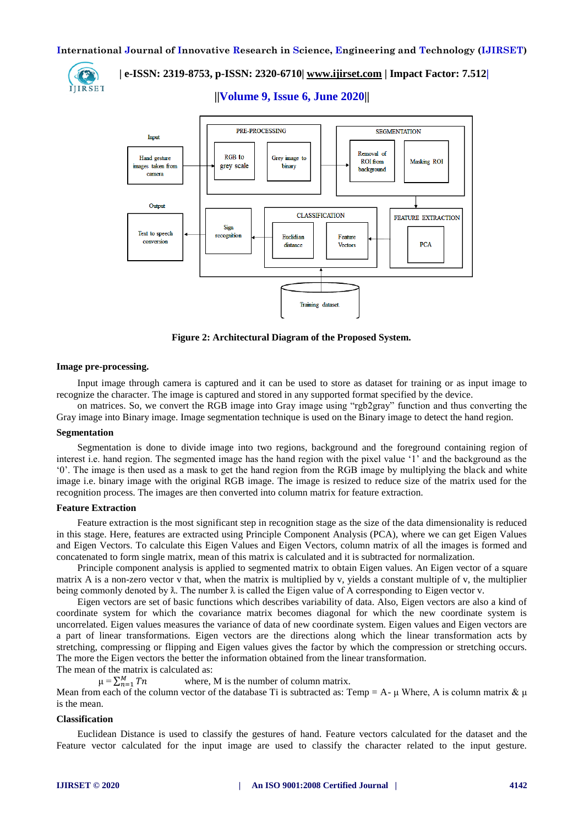

 **| e-ISSN: 2319-8753, p-ISSN: 2320-6710| [www.ijirset.com](http://www.ijirset.com/) | Impact Factor: 7.512|**

**||Volume 9, Issue 6, June 2020||** 



**Figure 2: Architectural Diagram of the Proposed System.**

## **Image pre-processing.**

Input image through camera is captured and it can be used to store as dataset for training or as input image to recognize the character. The image is captured and stored in any supported format specified by the device.

on matrices. So, we convert the RGB image into Gray image using "rgb2gray" function and thus converting the Gray image into Binary image. Image segmentation technique is used on the Binary image to detect the hand region.

## **Segmentation**

Segmentation is done to divide image into two regions, background and the foreground containing region of interest i.e. hand region. The segmented image has the hand region with the pixel value '1' and the background as the '0'. The image is then used as a mask to get the hand region from the RGB image by multiplying the black and white image i.e. binary image with the original RGB image. The image is resized to reduce size of the matrix used for the recognition process. The images are then converted into column matrix for feature extraction.

## **Feature Extraction**

Feature extraction is the most significant step in recognition stage as the size of the data dimensionality is reduced in this stage. Here, features are extracted using Principle Component Analysis (PCA), where we can get Eigen Values and Eigen Vectors. To calculate this Eigen Values and Eigen Vectors, column matrix of all the images is formed and concatenated to form single matrix, mean of this matrix is calculated and it is subtracted for normalization.

Principle component analysis is applied to segmented matrix to obtain Eigen values. An Eigen vector of a square matrix A is a non-zero vector v that, when the matrix is multiplied by v, yields a constant multiple of v, the multiplier being commonly denoted by  $\lambda$ . The number  $\lambda$  is called the Eigen value of A corresponding to Eigen vector v.

Eigen vectors are set of basic functions which describes variability of data. Also, Eigen vectors are also a kind of coordinate system for which the covariance matrix becomes diagonal for which the new coordinate system is uncorrelated. Eigen values measures the variance of data of new coordinate system. Eigen values and Eigen vectors are a part of linear transformations. Eigen vectors are the directions along which the linear transformation acts by stretching, compressing or flipping and Eigen values gives the factor by which the compression or stretching occurs. The more the Eigen vectors the better the information obtained from the linear transformation.

The mean of the matrix is calculated as:

where, M is the number of column matrix.

Mean from each of the column vector of the database Ti is subtracted as: Temp = A- μ Where, A is column matrix  $\& \mu$ is the mean.

#### **Classification**

 $\mu = \sum_{n=1}^{M}$ 

Euclidean Distance is used to classify the gestures of hand. Feature vectors calculated for the dataset and the Feature vector calculated for the input image are used to classify the character related to the input gesture.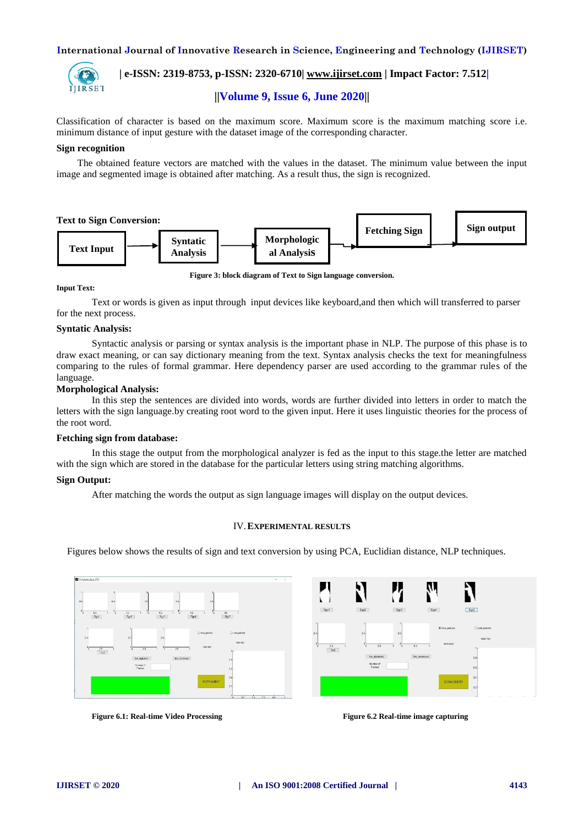

## **| e-ISSN: 2319-8753, p-ISSN: 2320-6710| [www.ijirset.com](http://www.ijirset.com/) | Impact Factor: 7.512|**

## **||Volume 9, Issue 6, June 2020||**

Classification of character is based on the maximum score. Maximum score is the maximum matching score i.e. minimum distance of input gesture with the dataset image of the corresponding character.

## **Sign recognition**

The obtained feature vectors are matched with the values in the dataset. The minimum value between the input image and segmented image is obtained after matching. As a result thus, the sign is recognized.



**Figure 3: block diagram of Text to Sign language conversion.**

#### **Input Text:**

Text or words is given as input through input devices like keyboard,and then which will transferred to parser for the next process.

## **Syntatic Analysis:**

Syntactic analysis or parsing or syntax analysis is the important phase in NLP. The purpose of this phase is to draw exact meaning, or can say dictionary meaning from the text. Syntax analysis checks the text for meaningfulness comparing to the rules of formal grammar. Here dependency parser are used according to the grammar rules of the language.

## **Morphological Analysis:**

In this step the sentences are divided into words, words are further divided into letters in order to match the letters with the sign language.by creating root word to the given input. Here it uses linguistic theories for the process of the root word.

#### **Fetching sign from database:**

In this stage the output from the morphological analyzer is fed as the input to this stage.the letter are matched with the sign which are stored in the database for the particular letters using string matching algorithms.

## **Sign Output:**

After matching the words the output as sign language images will display on the output devices.

## IV.**EXPERIMENTAL RESULTS**

Figures below shows the results of sign and text conversion by using PCA, Euclidian distance, NLP techniques.





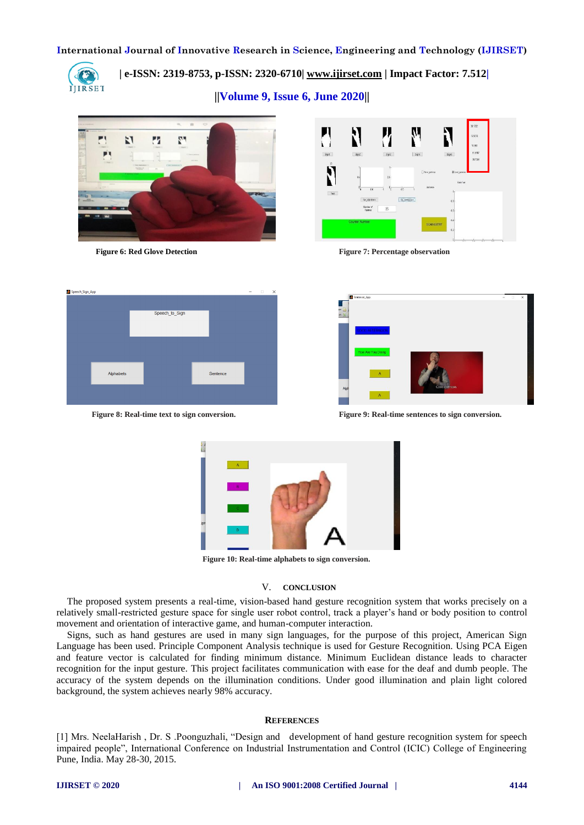

 **| e-ISSN: 2319-8753, p-ISSN: 2320-6710| [www.ijirset.com](http://www.ijirset.com/) | Impact Factor: 7.512|**

**||Volume 9, Issue 6, June 2020||** 





 **Figure 6: Red Glove Detection Figure 7: Percentage observation**





**Figure 8: Real-time text to sign conversion. Figure 9: Real-time sentences to sign conversion.**



**Figure 10: Real-time alphabets to sign conversion.**

## V. **CONCLUSION**

The proposed system presents a real-time, vision-based hand gesture recognition system that works precisely on a relatively small-restricted gesture space for single user robot control, track a player's hand or body position to control movement and orientation of interactive game, and human-computer interaction.

Signs, such as hand gestures are used in many sign languages, for the purpose of this project, American Sign Language has been used. Principle Component Analysis technique is used for Gesture Recognition. Using PCA Eigen and feature vector is calculated for finding minimum distance. Minimum Euclidean distance leads to character recognition for the input gesture. This project facilitates communication with ease for the deaf and dumb people. The accuracy of the system depends on the illumination conditions. Under good illumination and plain light colored background, the system achieves nearly 98% accuracy.

## **REFERENCES**

[1] Mrs. NeelaHarish , Dr. S .Poonguzhali, "Design and development of hand gesture recognition system for speech impaired people", International Conference on Industrial Instrumentation and Control (ICIC) College of Engineering Pune, India. May 28-30, 2015.